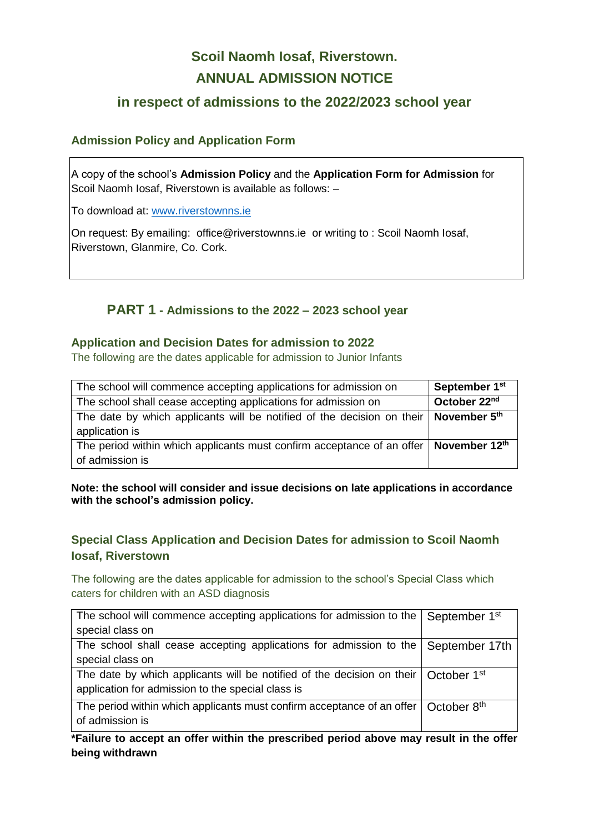# **Scoil Naomh Iosaf, Riverstown. ANNUAL ADMISSION NOTICE**

# **in respect of admissions to the 2022/2023 school year**

## **Admission Policy and Application Form**

A copy of the school's **Admission Policy** and the **Application Form for Admission** for Scoil Naomh Iosaf, Riverstown is available as follows: –

To download at: www.riverstownns.ie

On request: By emailing: office@riverstownns.ie or writing to : Scoil Naomh Iosaf, Riverstown, Glanmire, Co. Cork.

# **PART 1 - Admissions to the 2022 – 2023 school year**

## **Application and Decision Dates for admission to 2022**

The following are the dates applicable for admission to Junior Infants

| The school will commence accepting applications for admission on                         | September 1 <sup>st</sup> |
|------------------------------------------------------------------------------------------|---------------------------|
| The school shall cease accepting applications for admission on                           | October 22nd              |
| The date by which applicants will be notified of the decision on their<br>application is | November 5th              |
| The period within which applicants must confirm acceptance of an offer                   | November 12th             |
| of admission is                                                                          |                           |

#### **Note: the school will consider and issue decisions on late applications in accordance with the school's admission policy.**

## **Special Class Application and Decision Dates for admission to Scoil Naomh Iosaf, Riverstown**

The following are the dates applicable for admission to the school's Special Class which caters for children with an ASD diagnosis

| The school will commence accepting applications for admission to the   September 1 <sup>st</sup> |  |
|--------------------------------------------------------------------------------------------------|--|
| special class on                                                                                 |  |
| The school shall cease accepting applications for admission to the September 17th                |  |
| special class on                                                                                 |  |
| The date by which applicants will be notified of the decision on their   October 1 <sup>st</sup> |  |
| application for admission to the special class is                                                |  |
| The period within which applicants must confirm acceptance of an offer   October 8 <sup>th</sup> |  |
| of admission is                                                                                  |  |

**\*Failure to accept an offer within the prescribed period above may result in the offer being withdrawn**